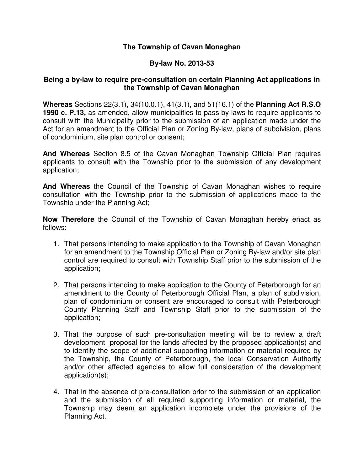## **The Township of Cavan Monaghan**

## **By-law No. 2013-53**

## **Being a by-law to require pre-consultation on certain Planning Act applications in the Township of Cavan Monaghan**

**Whereas** Sections 22(3.1), 34(10.0.1), 41(3.1), and 51(16.1) of the **Planning Act R.S.O 1990 c. P.13,** as amended, allow municipalities to pass by-laws to require applicants to consult with the Municipality prior to the submission of an application made under the Act for an amendment to the Official Plan or Zoning By-law, plans of subdivision, plans of condominium, site plan control or consent;

**And Whereas** Section 8.5 of the Cavan Monaghan Township Official Plan requires applicants to consult with the Township prior to the submission of any development application;

**And Whereas** the Council of the Township of Cavan Monaghan wishes to require consultation with the Township prior to the submission of applications made to the Township under the Planning Act;

**Now Therefore** the Council of the Township of Cavan Monaghan hereby enact as follows:

- 1. That persons intending to make application to the Township of Cavan Monaghan for an amendment to the Township Official Plan or Zoning By-law and/or site plan control are required to consult with Township Staff prior to the submission of the application;
- 2. That persons intending to make application to the County of Peterborough for an amendment to the County of Peterborough Official Plan, a plan of subdivision, plan of condominium or consent are encouraged to consult with Peterborough County Planning Staff and Township Staff prior to the submission of the application;
- 3. That the purpose of such pre-consultation meeting will be to review a draft development proposal for the lands affected by the proposed application(s) and to identify the scope of additional supporting information or material required by the Township, the County of Peterborough, the local Conservation Authority and/or other affected agencies to allow full consideration of the development application(s);
- 4. That in the absence of pre-consultation prior to the submission of an application and the submission of all required supporting information or material, the Township may deem an application incomplete under the provisions of the Planning Act.